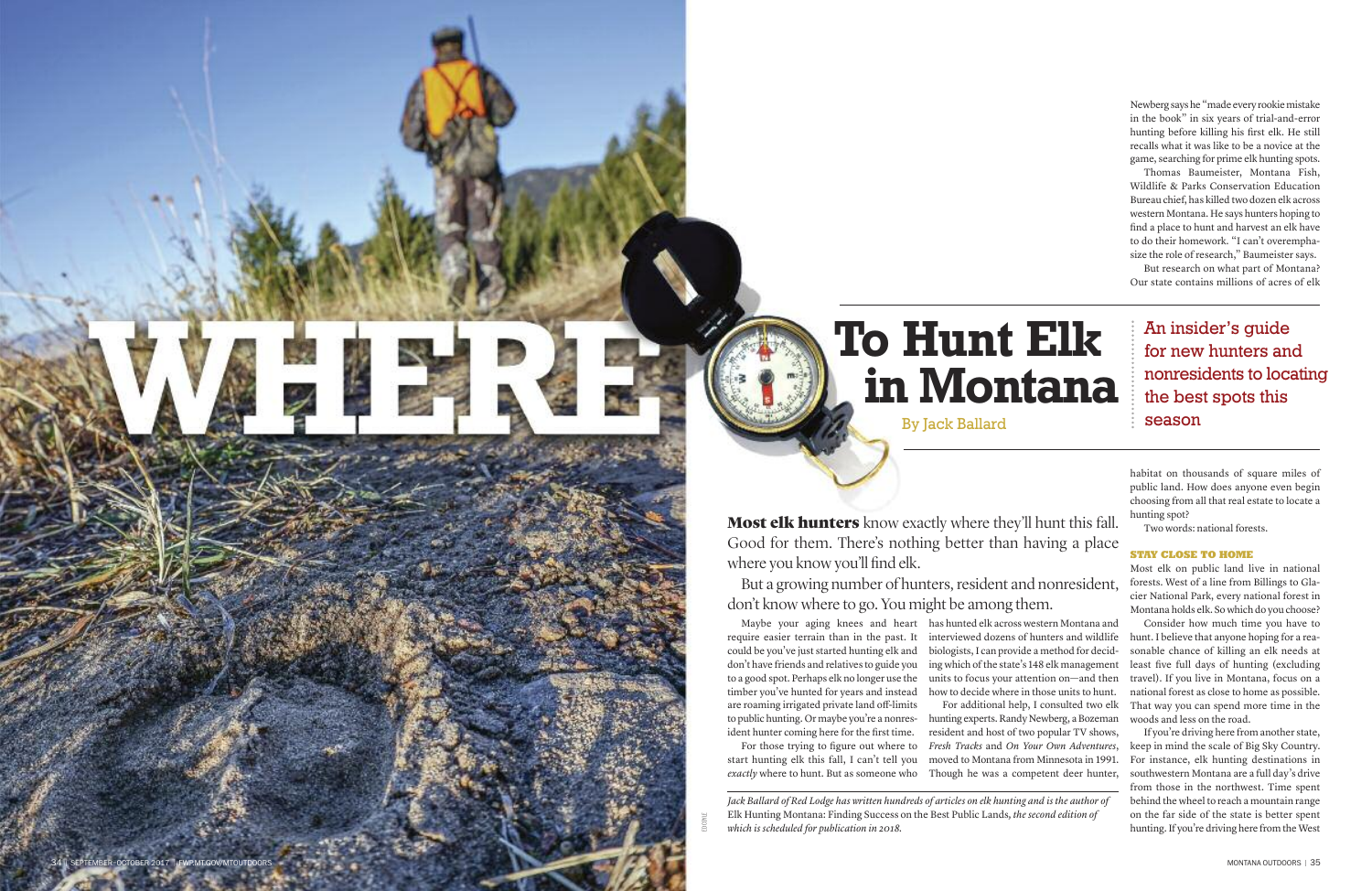3 4 S E P T E M B E R – O C T O B E R 2 0 1 7 F

WP.MT.GOV/MTOUTDOORS

has hunted elk across western Montana and interviewed dozens of hunters and wildlife biologists, I can provide a method for deciding which of the state's 148 elk management units to focus your attention on—and then how to decide where in those units to hunt. For additional help, I consulted two elk hunting experts. Randy Newberg, a Bozeman resident and host of two popular TV shows, *Fresh Tracks* and *On Your Own Adventures*, moved to Montana from Minnesota in 1991. Though he was a competent deer hunter,

Jack Ballard of Red Lodge has written hundreds of articles on elk hunting and is the author of Elk Hunting Montana: Finding Success on the Best Public Lands, the second edition of which is scheduled for publication in 2018.

Newberg says he "made every rookie mistake in the book" in six years of trial-and-error hunting before killing his first elk. He still recalls what it was like to be a novice at the game, searching for prime elk hunting spots.

Thomas Baumeister, Montana Fish, Wildlife & Parks Conservation Education Bureau chief, has killed two dozen elk across western Montana. He says hunters hoping to find a place to hunt and harvest an elk have to do their homework. "I can't overemphasize the role of research," Baumeister says.

But research on what part of Montana? Our state contains millions of acres of elk

An insider's guide for new hunters and nonresidents to locating the best spots this season

habitat on thousands of square miles of public land. How does anyone even begin choosing from all that real estate to locate a hunting spot?

Two words: national forests.

### STAY CLOSE TO HOME

Most elk on public land live in national forests. West of a line from Billings to Glacier National Park, every national forest in Montana holds elk. So which do you choose?

Consider how much time you have to hunt. I believe that anyone hoping for a reasonable chance of killing an elk needs at least five full days of hunting (excluding travel). If you live in Montana, focus on a national forest as close to home as possible. That way you can spend more time in the woods and less on the road.

If you're driving here from another state, keep in mind the scale of Big Sky Country. For instance, elk hunting destinations in southwestern Montana are a full day's drive from those in the northwest. Time spent behind the wheel to reach a mountain range on the far side of the state is better spent hunting. If you're driving here from the West



By Jack Ballard

**Most elk hunters** know exactly where they'll hunt this fall. Good for them. There's nothing better than having a place where you know you'll find elk.

But a growing number of hunters, resident and nonresident, don't know where to go. You might be among them.

Maybe your aging knees and heart require easier terrain than in the past. It could be you've just started hunting elk and don't have friends and relatives to guide you to a good spot. Perhaps elk no longer use the timber you've hunted for years and instead are roaming irrigated private land off-limits to public hunting. Or maybe you're a nonresident hunter coming here for the first time.

For those trying to figure out where to start hunting elk this fall, I can't tell you *exactly* where to hunt. But as someone who

COYLE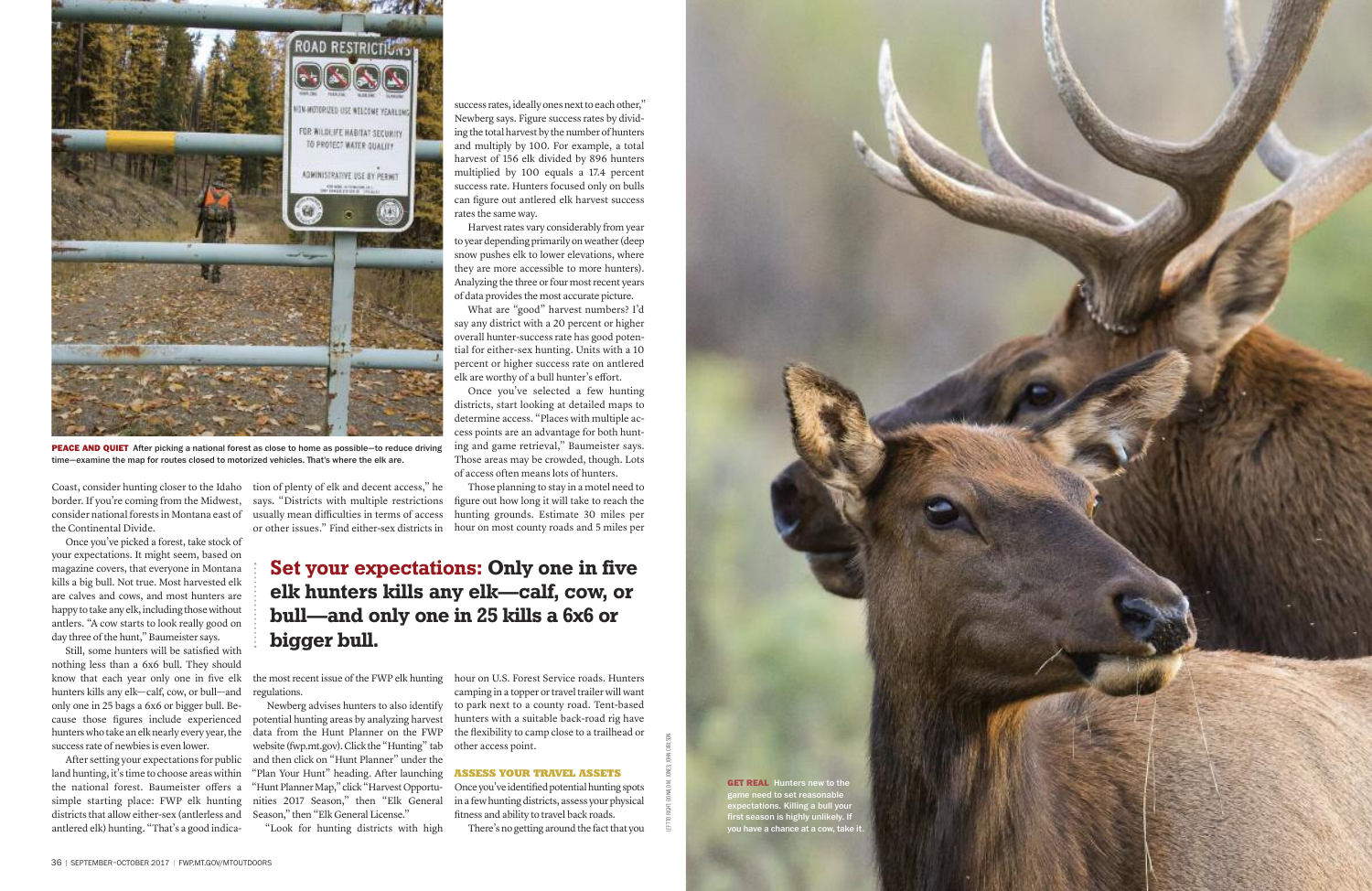success rates, ideally ones next to each other," Newberg says. Figure success rates by dividing the total harvest by the number of hunters and multiply by 100. For example, a total harvest of 156 elk divided by 896 hunters multiplied by 100 equals a 17.4 percent success rate. Hunters focused only on bulls can figure out antlered elk harvest success rates the same way.

Harvest rates vary considerably from year to year depending primarily on weather (deep snow pushes elk to lower elevations, where they are more accessible to more hunters). Analyzing the three or four most recent years of data provides the most accurate picture.

Those planning to stay in a motel need to figure out how long it will take to reach the hunting grounds. Estimate 30 miles per or other issues." Find either-sex districts in hour on most county roads and 5 miles per

What are "good" harvest numbers? I'd say any district with a 20 percent or higher overall hunter-success rate has good potential for either-sex hunting. Units with a 10 percent or higher success rate on antlered elk are worthy of a bull hunter's effort.

Once you've identified potential hunting spots in a few hunting districts, assess your physical fitness and ability to travel back roads.

There's no getting around the fact that you

Once you've picked a forest, take stock of your expectations. It might seem, based on magazine covers, that everyone in Montana kills a big bull. Not true. Most harvested elk are calves and cows, and most hunters are happy to take any elk, including those without antlers. "A cow starts to look really good on day three of the hunt," Baumeister says.

Once you've selected a few hunting districts, start looking at detailed maps to determine access. "Places with multiple access points are an advantage for both hunting and game retrieval," Baumeister says. Those areas may be crowded, though. Lots of access often means lots of hunters.

hour on U.S. Forest Service roads. Hunters camping in a topper or travel trailer will want to park next to a county road. Tent-based hunters with a suitable back-road rig have the flexibility to camp close to a trailhead or other access point.

## **ASSESS YOUR TRAVEL ASSETS**



**PEACE AND QUIET** After picking a national forest as close to home as possible-to reduce driving time-examine the map for routes closed to motorized vehicles. That's where the elk are.

Coast, consider hunting closer to the Idaho border. If you're coming from the Midwest, consider national forests in Montana east of the Continental Divide.

Still, some hunters will be satisfied with nothing less than a 6x6 bull. They should know that each year only one in five elk hunters kills any elk—calf, cow, or bull—and only one in 25 bags a 6x6 or bigger bull. Because those figures include experienced hunters who take an elk nearly every year, the success rate of newbies is even lower.

After setting your expectations for public land hunting, it's time to choose areas within the national forest. Baumeister offers a simple starting place: FWP elk hunting districts that allow either-sex (antlerless and antlered elk) hunting. "That's a good indica-

tion of plenty of elk and decent access," he says. "Districts with multiple restrictions usually mean difficulties in terms of access

the most recent issue of the FWP elk hunting regulations.

Newberg advises hunters to also identify potential hunting areas by analyzing harvest data from the Hunt Planner on the FWP website (fwp.mt.gov). Click the "Hunting" tab and then click on "Hunt Planner" under the "Plan Your Hunt" heading. After launching "Hunt Planner Map," click "Harvest Opportunities 2017 Season," then "Elk General Season," then "Elk General License."

"Look for hunting districts with high

# **Set your expectations: Only one in five elk hunters kills any elk—calf, cow, or bull—and only one in 25 kills a 6x6 or bigger bull.**